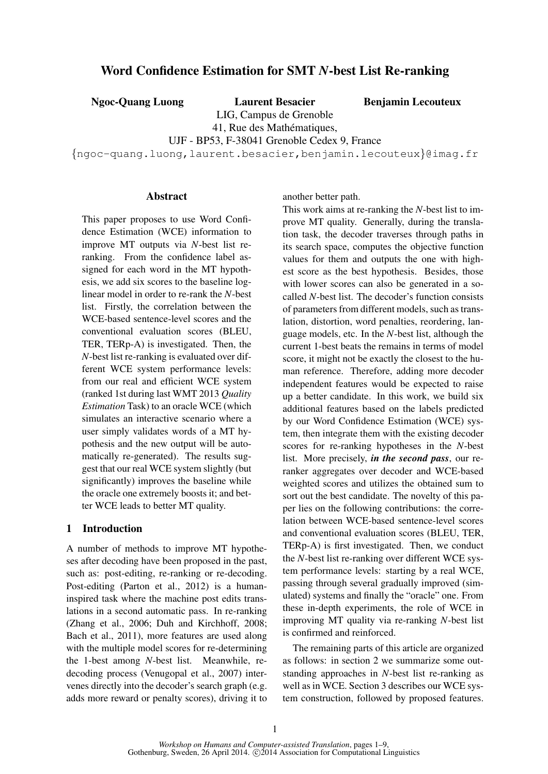# Word Confidence Estimation for SMT *N*-best List Re-ranking

Ngoc-Quang Luong Laurent Besacier

Benjamin Lecouteux

LIG, Campus de Grenoble 41, Rue des Mathématiques,

UJF - BP53, F-38041 Grenoble Cedex 9, France

{ngoc-quang.luong,laurent.besacier,benjamin.lecouteux}@imag.fr

### Abstract

This paper proposes to use Word Confidence Estimation (WCE) information to improve MT outputs via *N*-best list reranking. From the confidence label assigned for each word in the MT hypothesis, we add six scores to the baseline loglinear model in order to re-rank the *N*-best list. Firstly, the correlation between the WCE-based sentence-level scores and the conventional evaluation scores (BLEU, TER, TERp-A) is investigated. Then, the *N*-best list re-ranking is evaluated over different WCE system performance levels: from our real and efficient WCE system (ranked 1st during last WMT 2013 *Quality Estimation* Task) to an oracle WCE (which simulates an interactive scenario where a user simply validates words of a MT hypothesis and the new output will be automatically re-generated). The results suggest that our real WCE system slightly (but significantly) improves the baseline while the oracle one extremely boosts it; and better WCE leads to better MT quality.

## 1 Introduction

A number of methods to improve MT hypotheses after decoding have been proposed in the past, such as: post-editing, re-ranking or re-decoding. Post-editing (Parton et al., 2012) is a humaninspired task where the machine post edits translations in a second automatic pass. In re-ranking (Zhang et al., 2006; Duh and Kirchhoff, 2008; Bach et al., 2011), more features are used along with the multiple model scores for re-determining the 1-best among *N*-best list. Meanwhile, redecoding process (Venugopal et al., 2007) intervenes directly into the decoder's search graph (e.g. adds more reward or penalty scores), driving it to another better path.

This work aims at re-ranking the *N*-best list to improve MT quality. Generally, during the translation task, the decoder traverses through paths in its search space, computes the objective function values for them and outputs the one with highest score as the best hypothesis. Besides, those with lower scores can also be generated in a socalled *N*-best list. The decoder's function consists of parameters from different models, such as translation, distortion, word penalties, reordering, language models, etc. In the *N*-best list, although the current 1-best beats the remains in terms of model score, it might not be exactly the closest to the human reference. Therefore, adding more decoder independent features would be expected to raise up a better candidate. In this work, we build six additional features based on the labels predicted by our Word Confidence Estimation (WCE) system, then integrate them with the existing decoder scores for re-ranking hypotheses in the *N*-best list. More precisely, *in the second pass*, our reranker aggregates over decoder and WCE-based weighted scores and utilizes the obtained sum to sort out the best candidate. The novelty of this paper lies on the following contributions: the correlation between WCE-based sentence-level scores and conventional evaluation scores (BLEU, TER, TERp-A) is first investigated. Then, we conduct the *N*-best list re-ranking over different WCE system performance levels: starting by a real WCE, passing through several gradually improved (simulated) systems and finally the "oracle" one. From these in-depth experiments, the role of WCE in improving MT quality via re-ranking *N*-best list is confirmed and reinforced.

The remaining parts of this article are organized as follows: in section 2 we summarize some outstanding approaches in *N*-best list re-ranking as well as in WCE. Section 3 describes our WCE system construction, followed by proposed features.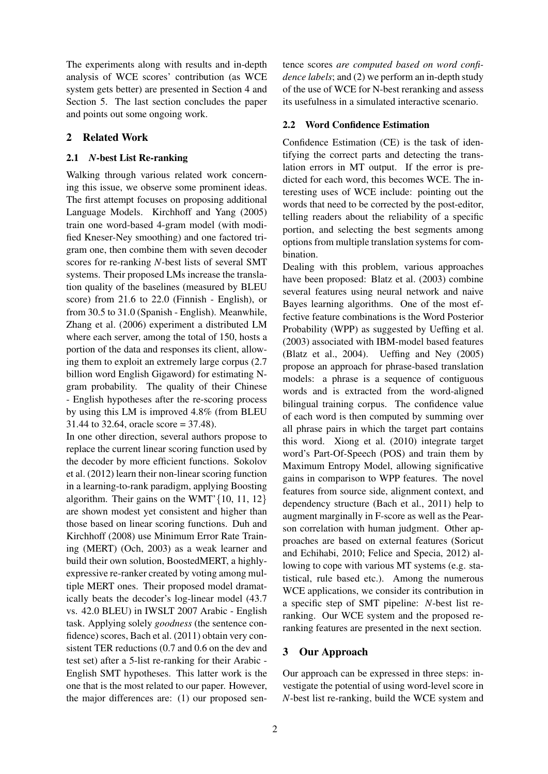The experiments along with results and in-depth analysis of WCE scores' contribution (as WCE system gets better) are presented in Section 4 and Section 5. The last section concludes the paper and points out some ongoing work.

## 2 Related Work

### 2.1 *N*-best List Re-ranking

Walking through various related work concerning this issue, we observe some prominent ideas. The first attempt focuses on proposing additional Language Models. Kirchhoff and Yang (2005) train one word-based 4-gram model (with modified Kneser-Ney smoothing) and one factored trigram one, then combine them with seven decoder scores for re-ranking *N*-best lists of several SMT systems. Their proposed LMs increase the translation quality of the baselines (measured by BLEU score) from 21.6 to 22.0 (Finnish - English), or from 30.5 to 31.0 (Spanish - English). Meanwhile, Zhang et al. (2006) experiment a distributed LM where each server, among the total of 150, hosts a portion of the data and responses its client, allowing them to exploit an extremely large corpus (2.7 billion word English Gigaword) for estimating Ngram probability. The quality of their Chinese - English hypotheses after the re-scoring process by using this LM is improved 4.8% (from BLEU 31.44 to 32.64, oracle score = 37.48).

In one other direction, several authors propose to replace the current linear scoring function used by the decoder by more efficient functions. Sokolov et al. (2012) learn their non-linear scoring function in a learning-to-rank paradigm, applying Boosting algorithm. Their gains on the WMT' $\{10, 11, 12\}$ are shown modest yet consistent and higher than those based on linear scoring functions. Duh and Kirchhoff (2008) use Minimum Error Rate Training (MERT) (Och, 2003) as a weak learner and build their own solution, BoostedMERT, a highlyexpressive re-ranker created by voting among multiple MERT ones. Their proposed model dramatically beats the decoder's log-linear model (43.7 vs. 42.0 BLEU) in IWSLT 2007 Arabic - English task. Applying solely *goodness* (the sentence confidence) scores, Bach et al. (2011) obtain very consistent TER reductions (0.7 and 0.6 on the dev and test set) after a 5-list re-ranking for their Arabic - English SMT hypotheses. This latter work is the one that is the most related to our paper. However, the major differences are: (1) our proposed sentence scores *are computed based on word confidence labels*; and (2) we perform an in-depth study of the use of WCE for N-best reranking and assess its usefulness in a simulated interactive scenario.

## 2.2 Word Confidence Estimation

Confidence Estimation (CE) is the task of identifying the correct parts and detecting the translation errors in MT output. If the error is predicted for each word, this becomes WCE. The interesting uses of WCE include: pointing out the words that need to be corrected by the post-editor, telling readers about the reliability of a specific portion, and selecting the best segments among options from multiple translation systems for combination.

Dealing with this problem, various approaches have been proposed: Blatz et al. (2003) combine several features using neural network and naive Bayes learning algorithms. One of the most effective feature combinations is the Word Posterior Probability (WPP) as suggested by Ueffing et al. (2003) associated with IBM-model based features (Blatz et al., 2004). Ueffing and Ney (2005) propose an approach for phrase-based translation models: a phrase is a sequence of contiguous words and is extracted from the word-aligned bilingual training corpus. The confidence value of each word is then computed by summing over all phrase pairs in which the target part contains this word. Xiong et al. (2010) integrate target word's Part-Of-Speech (POS) and train them by Maximum Entropy Model, allowing significative gains in comparison to WPP features. The novel features from source side, alignment context, and dependency structure (Bach et al., 2011) help to augment marginally in F-score as well as the Pearson correlation with human judgment. Other approaches are based on external features (Soricut and Echihabi, 2010; Felice and Specia, 2012) allowing to cope with various MT systems (e.g. statistical, rule based etc.). Among the numerous WCE applications, we consider its contribution in a specific step of SMT pipeline: *N*-best list reranking. Our WCE system and the proposed reranking features are presented in the next section.

## 3 Our Approach

Our approach can be expressed in three steps: investigate the potential of using word-level score in *N*-best list re-ranking, build the WCE system and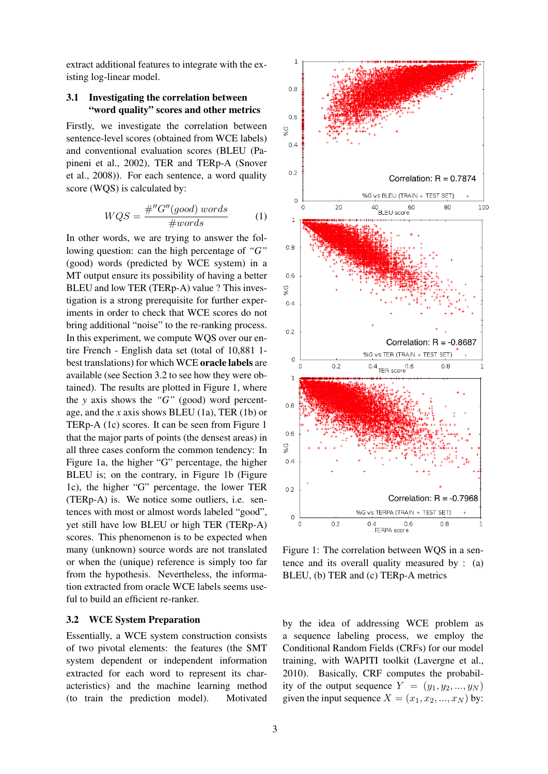extract additional features to integrate with the existing log-linear model.

### 3.1 Investigating the correlation between "word quality" scores and other metrics

Firstly, we investigate the correlation between sentence-level scores (obtained from WCE labels) and conventional evaluation scores (BLEU (Papineni et al., 2002), TER and TERp-A (Snover et al., 2008)). For each sentence, a word quality score (WQS) is calculated by:

$$
WQS = \frac{\#''G''(good) words}{\#words} \tag{1}
$$

In other words, we are trying to answer the following question: can the high percentage of *"G"* (good) words (predicted by WCE system) in a MT output ensure its possibility of having a better BLEU and low TER (TERp-A) value ? This investigation is a strong prerequisite for further experiments in order to check that WCE scores do not bring additional "noise" to the re-ranking process. In this experiment, we compute WQS over our entire French - English data set (total of 10,881 1 best translations) for which WCE oracle labels are available (see Section 3.2 to see how they were obtained). The results are plotted in Figure 1, where the *y* axis shows the *"G"* (good) word percentage, and the *x* axis shows BLEU (1a), TER (1b) or TERp-A (1c) scores. It can be seen from Figure 1 that the major parts of points (the densest areas) in all three cases conform the common tendency: In Figure 1a, the higher "G" percentage, the higher BLEU is; on the contrary, in Figure 1b (Figure 1c), the higher "G" percentage, the lower TER (TERp-A) is. We notice some outliers, i.e. sentences with most or almost words labeled "good", yet still have low BLEU or high TER (TERp-A) scores. This phenomenon is to be expected when many (unknown) source words are not translated or when the (unique) reference is simply too far from the hypothesis. Nevertheless, the information extracted from oracle WCE labels seems useful to build an efficient re-ranker.

### 3.2 WCE System Preparation

Essentially, a WCE system construction consists of two pivotal elements: the features (the SMT system dependent or independent information extracted for each word to represent its characteristics) and the machine learning method (to train the prediction model). Motivated



Figure 1: The correlation between WQS in a sentence and its overall quality measured by : (a) BLEU, (b) TER and (c) TERp-A metrics

by the idea of addressing WCE problem as a sequence labeling process, we employ the Conditional Random Fields (CRFs) for our model training, with WAPITI toolkit (Lavergne et al., 2010). Basically, CRF computes the probability of the output sequence  $Y = (y_1, y_2, ..., y_N)$ given the input sequence  $X = (x_1, x_2, ..., x_N)$  by: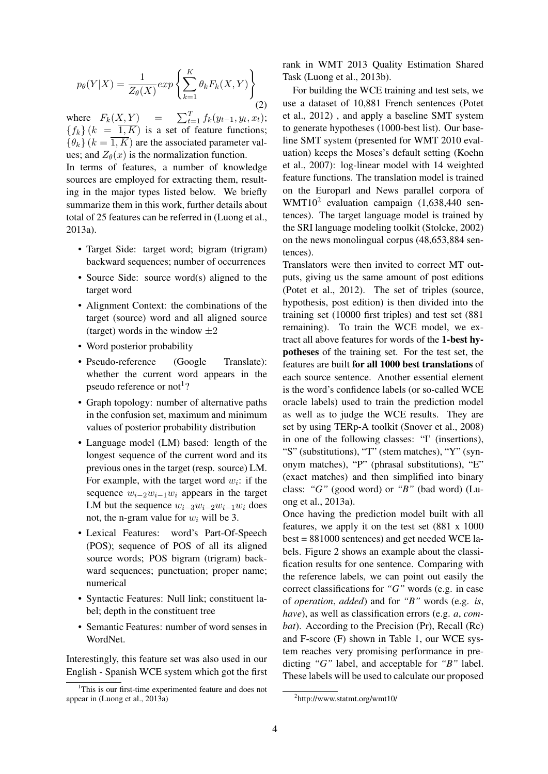$$
p_{\theta}(Y|X) = \frac{1}{Z_{\theta}(X)} \exp\left\{\sum_{k=1}^{K} \theta_k F_k(X, Y)\right\}
$$
(2)

where  $F_k(\underline{X}, \underline{Y}) = \sum_{t=1}^T f_k(y_{t-1}, y_t, x_t);$  ${f_k}(k = \overline{1, K})$  is a set of feature functions;  ${\lbrace \theta_k \rbrace}$  ( $k = \overline{1, K}$ ) are the associated parameter values; and  $Z_{\theta}(x)$  is the normalization function.

In terms of features, a number of knowledge sources are employed for extracting them, resulting in the major types listed below. We briefly summarize them in this work, further details about total of 25 features can be referred in (Luong et al., 2013a).

- Target Side: target word; bigram (trigram) backward sequences; number of occurrences
- Source Side: source word(s) aligned to the target word
- Alignment Context: the combinations of the target (source) word and all aligned source (target) words in the window  $\pm 2$
- Word posterior probability
- Pseudo-reference (Google Translate): whether the current word appears in the pseudo reference or not<sup>1</sup>?
- Graph topology: number of alternative paths in the confusion set, maximum and minimum values of posterior probability distribution
- Language model (LM) based: length of the longest sequence of the current word and its previous ones in the target (resp. source) LM. For example, with the target word  $w_i$ : if the sequence  $w_{i-2}w_{i-1}w_i$  appears in the target LM but the sequence  $w_{i-3}w_{i-2}w_{i-1}w_i$  does not, the n-gram value for  $w_i$  will be 3.
- Lexical Features: word's Part-Of-Speech (POS); sequence of POS of all its aligned source words; POS bigram (trigram) backward sequences; punctuation; proper name; numerical
- Syntactic Features: Null link; constituent label; depth in the constituent tree
- Semantic Features: number of word senses in WordNet.

Interestingly, this feature set was also used in our English - Spanish WCE system which got the first rank in WMT 2013 Quality Estimation Shared Task (Luong et al., 2013b).

For building the WCE training and test sets, we use a dataset of 10,881 French sentences (Potet et al., 2012) , and apply a baseline SMT system to generate hypotheses (1000-best list). Our baseline SMT system (presented for WMT 2010 evaluation) keeps the Moses's default setting (Koehn et al., 2007): log-linear model with 14 weighted feature functions. The translation model is trained on the Europarl and News parallel corpora of WMT10<sup>2</sup> evaluation campaign (1,638,440 sentences). The target language model is trained by the SRI language modeling toolkit (Stolcke, 2002) on the news monolingual corpus (48,653,884 sentences).

Translators were then invited to correct MT outputs, giving us the same amount of post editions (Potet et al., 2012). The set of triples (source, hypothesis, post edition) is then divided into the training set (10000 first triples) and test set (881 remaining). To train the WCE model, we extract all above features for words of the 1-best hypotheses of the training set. For the test set, the features are built for all 1000 best translations of each source sentence. Another essential element is the word's confidence labels (or so-called WCE oracle labels) used to train the prediction model as well as to judge the WCE results. They are set by using TERp-A toolkit (Snover et al., 2008) in one of the following classes: "I' (insertions), "S" (substitutions), "T" (stem matches), "Y" (synonym matches), "P" (phrasal substitutions), "E" (exact matches) and then simplified into binary class: *"G"* (good word) or *"B"* (bad word) (Luong et al., 2013a).

Once having the prediction model built with all features, we apply it on the test set (881 x 1000 best = 881000 sentences) and get needed WCE labels. Figure 2 shows an example about the classification results for one sentence. Comparing with the reference labels, we can point out easily the correct classifications for *"G"* words (e.g. in case of *operation*, *added*) and for *"B"* words (e.g. *is*, *have*), as well as classification errors (e.g. *a*, *combat*). According to the Precision (Pr), Recall (Rc) and F-score (F) shown in Table 1, our WCE system reaches very promising performance in predicting *"G"* label, and acceptable for *"B"* label. These labels will be used to calculate our proposed

<sup>&</sup>lt;sup>1</sup>This is our first-time experimented feature and does not appear in (Luong et al., 2013a)

<sup>2</sup> http://www.statmt.org/wmt10/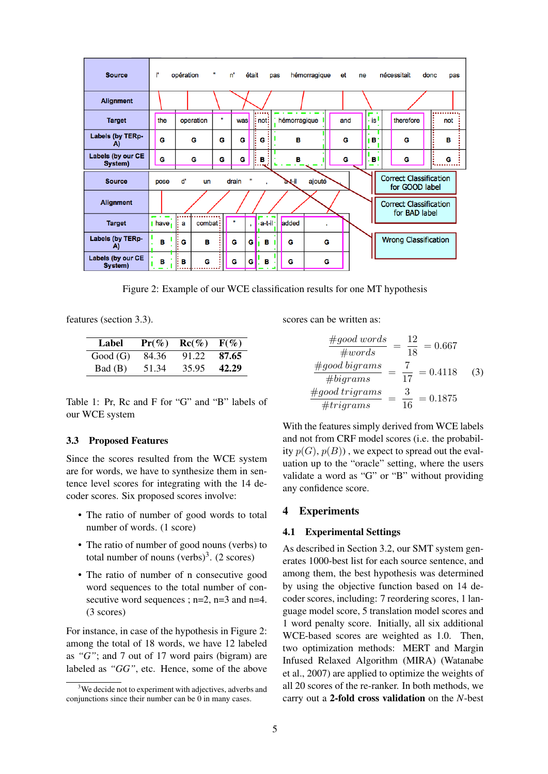

Figure 2: Example of our WCE classification results for one MT hypothesis

features (section 3.3).

| Label   | $Pr(\%)$ | $\text{Rc}(\%)$ | $F(\%)$ |
|---------|----------|-----------------|---------|
| Good(G) | 84.36    | 91.22           | 87.65   |
| Bad (B) | 51.34    | 35.95           | 42.29   |

Table 1: Pr, Rc and F for "G" and "B" labels of our WCE system

### 3.3 Proposed Features

Since the scores resulted from the WCE system are for words, we have to synthesize them in sentence level scores for integrating with the 14 decoder scores. Six proposed scores involve:

- The ratio of number of good words to total number of words. (1 score)
- The ratio of number of good nouns (verbs) to total number of nouns  $(verbs)^3$ . (2 scores)
- The ratio of number of n consecutive good word sequences to the total number of consecutive word sequences ;  $n=2$ ,  $n=3$  and  $n=4$ . (3 scores)

For instance, in case of the hypothesis in Figure 2: among the total of 18 words, we have 12 labeled as *"G"*; and 7 out of 17 word pairs (bigram) are labeled as "GG", etc. Hence, some of the above scores can be written as:

$$
\frac{\#good words}{\#words} = \frac{12}{18} = 0.667
$$
\n
$$
\frac{\#good bigrams}{\# bigrams} = \frac{7}{17} = 0.4118
$$
\n
$$
\frac{\# good trigrams}{\# trigrams} = \frac{3}{16} = 0.1875
$$

With the features simply derived from WCE labels and not from CRF model scores (i.e. the probability  $p(G), p(B)$ , we expect to spread out the evaluation up to the "oracle" setting, where the users validate a word as "G" or "B" without providing any confidence score.

## 4 Experiments

## 4.1 Experimental Settings

As described in Section 3.2, our SMT system generates 1000-best list for each source sentence, and among them, the best hypothesis was determined by using the objective function based on 14 decoder scores, including: 7 reordering scores, 1 language model score, 5 translation model scores and 1 word penalty score. Initially, all six additional WCE-based scores are weighted as 1.0. Then, two optimization methods: MERT and Margin Infused Relaxed Algorithm (MIRA) (Watanabe et al., 2007) are applied to optimize the weights of all 20 scores of the re-ranker. In both methods, we carry out a 2-fold cross validation on the *N*-best

<sup>&</sup>lt;sup>3</sup>We decide not to experiment with adjectives, adverbs and conjunctions since their number can be 0 in many cases.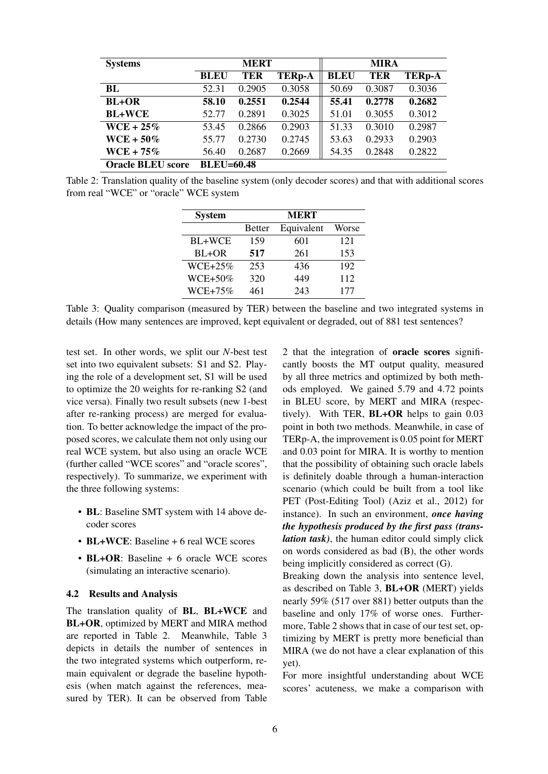| <b>Systems</b>           | <b>MERT</b>       |            |               | <b>MIRA</b> |            |               |
|--------------------------|-------------------|------------|---------------|-------------|------------|---------------|
|                          | <b>BLEU</b>       | <b>TER</b> | <b>TERp-A</b> | <b>BLEU</b> | <b>TER</b> | <b>TERp-A</b> |
| BL                       | 52.31             | 0.2905     | 0.3058        | 50.69       | 0.3087     | 0.3036        |
| <b>BL+OR</b>             | 58.10             | 0.2551     | 0.2544        | 55.41       | 0.2778     | 0.2682        |
| <b>BL+WCE</b>            | 52.77             | 0.2891     | 0.3025        | 51.01       | 0.3055     | 0.3012        |
| $WCE + 25\%$             | 53.45             | 0.2866     | 0.2903        | 51.33       | 0.3010     | 0.2987        |
| $WCE + 50\%$             | 55.77             | 0.2730     | 0.2745        | 53.63       | 0.2933     | 0.2903        |
| $WCE + 75\%$             | 56.40             | 0.2687     | 0.2669        | 54.35       | 0.2848     | 0.2822        |
| <b>Oracle BLEU score</b> | <b>BLEU=60.48</b> |            |               |             |            |               |

Table 2: Translation quality of the baseline system (only decoder scores) and that with additional scores from real "WCE" or "oracle" WCE system

| <b>System</b> |        | <b>MERT</b> |       |
|---------------|--------|-------------|-------|
|               | Better | Equivalent  | Worse |
| BL+WCE        | 159    | 601         | 121   |
| BL+OR         | 517    | 261         | 153   |
| $WCE+25%$     | 253    | 436         | 192   |
| $WCE+50\%$    | 320    | 449         | 112   |
| $WCE + 75\%$  | 461    | 243         | 177   |

Table 3: Quality comparison (measured by TER) between the baseline and two integrated systems in details (How many sentences are improved, kept equivalent or degraded, out of 881 test sentences?

test set. In other words, we split our *N*-best test set into two equivalent subsets: S1 and S2. Playing the role of a development set, S1 will be used to optimize the 20 weights for re-ranking S2 (and vice versa). Finally two result subsets (new 1-best after re-ranking process) are merged for evaluation. To better acknowledge the impact of the proposed scores, we calculate them not only using our real WCE system, but also using an oracle WCE (further called "WCE scores" and "oracle scores", respectively). To summarize, we experiment with the three following systems:

- BL: Baseline SMT system with 14 above decoder scores
- BL+WCE: Baseline + 6 real WCE scores
- BL+OR: Baseline + 6 oracle WCE scores (simulating an interactive scenario).

#### 4.2 Results and Analysis

The translation quality of BL, BL+WCE and BL+OR, optimized by MERT and MIRA method are reported in Table 2. Meanwhile, Table 3 depicts in details the number of sentences in the two integrated systems which outperform, remain equivalent or degrade the baseline hypothesis (when match against the references, measured by TER). It can be observed from Table

2 that the integration of oracle scores significantly boosts the MT output quality, measured by all three metrics and optimized by both methods employed. We gained 5.79 and 4.72 points in BLEU score, by MERT and MIRA (respectively). With TER, BL+OR helps to gain 0.03 point in both two methods. Meanwhile, in case of TERp-A, the improvement is 0.05 point for MERT and 0.03 point for MIRA. It is worthy to mention that the possibility of obtaining such oracle labels is definitely doable through a human-interaction scenario (which could be built from a tool like PET (Post-Editing Tool) (Aziz et al., 2012) for instance). In such an environment, *once having the hypothesis produced by the first pass (translation task)*, the human editor could simply click on words considered as bad (B), the other words being implicitly considered as correct (G).

Breaking down the analysis into sentence level, as described on Table 3, BL+OR (MERT) yields nearly 59% (517 over 881) better outputs than the baseline and only 17% of worse ones. Furthermore, Table 2 shows that in case of our test set, optimizing by MERT is pretty more beneficial than MIRA (we do not have a clear explanation of this yet).

For more insightful understanding about WCE scores' acuteness, we make a comparison with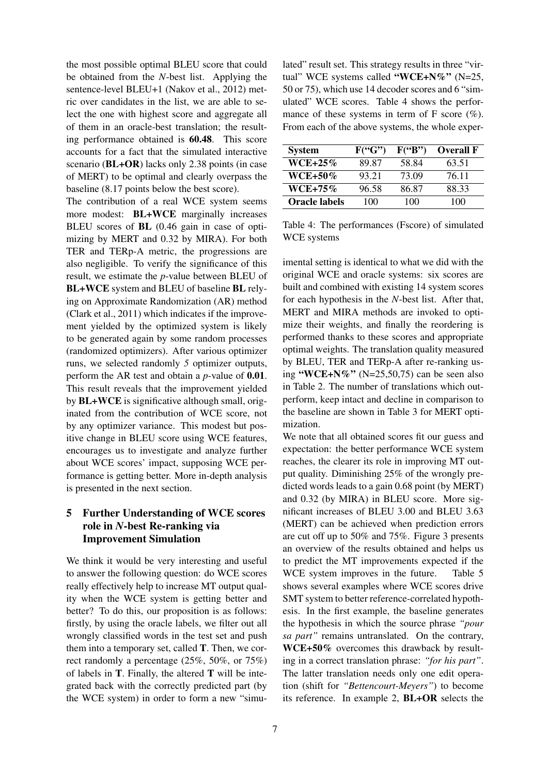the most possible optimal BLEU score that could be obtained from the *N*-best list. Applying the sentence-level BLEU+1 (Nakov et al., 2012) metric over candidates in the list, we are able to select the one with highest score and aggregate all of them in an oracle-best translation; the resulting performance obtained is 60.48. This score accounts for a fact that the simulated interactive scenario (BL+OR) lacks only 2.38 points (in case of MERT) to be optimal and clearly overpass the baseline (8.17 points below the best score).

The contribution of a real WCE system seems more modest: BL+WCE marginally increases BLEU scores of BL (0.46 gain in case of optimizing by MERT and 0.32 by MIRA). For both TER and TERp-A metric, the progressions are also negligible. To verify the significance of this result, we estimate the *p*-value between BLEU of BL+WCE system and BLEU of baseline BL relying on Approximate Randomization (AR) method (Clark et al., 2011) which indicates if the improvement yielded by the optimized system is likely to be generated again by some random processes (randomized optimizers). After various optimizer runs, we selected randomly *5* optimizer outputs, perform the AR test and obtain a *p*-value of 0.01. This result reveals that the improvement yielded by BL+WCE is significative although small, originated from the contribution of WCE score, not by any optimizer variance. This modest but positive change in BLEU score using WCE features, encourages us to investigate and analyze further about WCE scores' impact, supposing WCE performance is getting better. More in-depth analysis is presented in the next section.

# 5 Further Understanding of WCE scores role in *N*-best Re-ranking via Improvement Simulation

We think it would be very interesting and useful to answer the following question: do WCE scores really effectively help to increase MT output quality when the WCE system is getting better and better? To do this, our proposition is as follows: firstly, by using the oracle labels, we filter out all wrongly classified words in the test set and push them into a temporary set, called T. Then, we correct randomly a percentage (25%, 50%, or 75%) of labels in  $T$ . Finally, the altered  $T$  will be integrated back with the correctly predicted part (by the WCE system) in order to form a new "simu-

lated" result set. This strategy results in three "virtual" WCE systems called "WCE+N%" (N=25, 50 or 75), which use 14 decoder scores and 6 "simulated" WCE scores. Table 4 shows the performance of these systems in term of F score  $(\%).$ From each of the above systems, the whole exper-

| <b>System</b>        | F("G") | F("B") | <b>Overall F</b> |
|----------------------|--------|--------|------------------|
| $WCE + 25\%$         | 89.87  | 58.84  | 63.51            |
| WCE+50%              | 93.21  | 73.09  | 76.11            |
| $WCE+75\%$           | 96.58  | 86.87  | 88.33            |
| <b>Oracle labels</b> | 100    | 100    | 100              |

Table 4: The performances (Fscore) of simulated WCE systems

imental setting is identical to what we did with the original WCE and oracle systems: six scores are built and combined with existing 14 system scores for each hypothesis in the *N*-best list. After that, MERT and MIRA methods are invoked to optimize their weights, and finally the reordering is performed thanks to these scores and appropriate optimal weights. The translation quality measured by BLEU, TER and TERp-A after re-ranking using "WCE+N%" (N=25,50,75) can be seen also in Table 2. The number of translations which outperform, keep intact and decline in comparison to the baseline are shown in Table 3 for MERT optimization.

We note that all obtained scores fit our guess and expectation: the better performance WCE system reaches, the clearer its role in improving MT output quality. Diminishing 25% of the wrongly predicted words leads to a gain 0.68 point (by MERT) and 0.32 (by MIRA) in BLEU score. More significant increases of BLEU 3.00 and BLEU 3.63 (MERT) can be achieved when prediction errors are cut off up to 50% and 75%. Figure 3 presents an overview of the results obtained and helps us to predict the MT improvements expected if the WCE system improves in the future. Table 5 shows several examples where WCE scores drive SMT system to better reference-correlated hypothesis. In the first example, the baseline generates the hypothesis in which the source phrase *"pour sa part"* remains untranslated. On the contrary, WCE+50% overcomes this drawback by resulting in a correct translation phrase: *"for his part"*. The latter translation needs only one edit operation (shift for *"Bettencourt-Meyers"*) to become its reference. In example 2, BL+OR selects the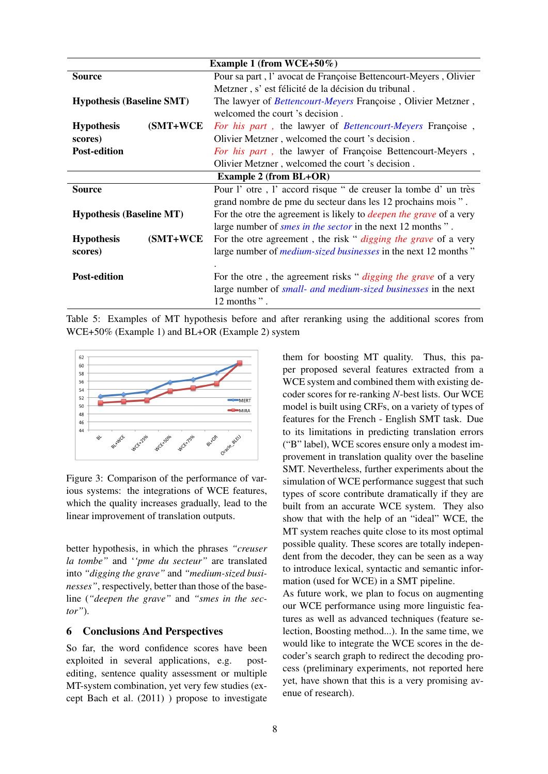| Example 1 (from WCE+50%)         |                                                                           |  |
|----------------------------------|---------------------------------------------------------------------------|--|
| <b>Source</b>                    | Pour sa part, l'avocat de Françoise Bettencourt-Meyers, Olivier           |  |
|                                  | Metzner, s' est félicité de la décision du tribunal.                      |  |
| <b>Hypothesis (Baseline SMT)</b> | The lawyer of <i>Bettencourt-Meyers</i> Françoise, Olivier Metzner,       |  |
|                                  | welcomed the court 's decision.                                           |  |
| (SMT+WCE)<br><b>Hypothesis</b>   | For his part, the lawyer of Bettencourt-Meyers Françoise,                 |  |
| scores)                          | Olivier Metzner, welcomed the court 's decision.                          |  |
| <b>Post-edition</b>              | For his part, the lawyer of Françoise Bettencourt-Meyers,                 |  |
|                                  | Olivier Metzner, welcomed the court 's decision.                          |  |
| <b>Example 2 (from BL+OR)</b>    |                                                                           |  |
| <b>Source</b>                    | Pour l'otre, l'accord risque " de creuser la tombe d'un très              |  |
|                                  | grand nombre de pme du secteur dans les 12 prochains mois ".              |  |
| <b>Hypothesis (Baseline MT)</b>  | For the otre the agreement is likely to <i>deepen the grave</i> of a very |  |
|                                  | large number of <i>smes in the sector</i> in the next 12 months".         |  |
| (SMT+WCE<br><b>Hypothesis</b>    | For the otre agreement, the risk " <i>digging the grave</i> of a very     |  |
| scores)                          | large number of <i>medium-sized businesses</i> in the next 12 months"     |  |
|                                  |                                                                           |  |
| <b>Post-edition</b>              | For the otre, the agreement risks " <i>digging the grave</i> of a very    |  |
|                                  | large number of <i>small- and medium-sized businesses</i> in the next     |  |
|                                  | 12 months".                                                               |  |

Table 5: Examples of MT hypothesis before and after reranking using the additional scores from WCE+50% (Example 1) and BL+OR (Example 2) system



Figure 3: Comparison of the performance of various systems: the integrations of WCE features, which the quality increases gradually, lead to the linear improvement of translation outputs.

better hypothesis, in which the phrases *"creuser la tombe"* and '*'pme du secteur"* are translated into *"digging the grave"* and *"medium-sized businesses"*, respectively, better than those of the baseline (*"deepen the grave"* and *"smes in the sector"*).

## 6 Conclusions And Perspectives

So far, the word confidence scores have been exploited in several applications, e.g. postediting, sentence quality assessment or multiple MT-system combination, yet very few studies (except Bach et al. (2011) ) propose to investigate them for boosting MT quality. Thus, this paper proposed several features extracted from a WCE system and combined them with existing decoder scores for re-ranking *N*-best lists. Our WCE model is built using CRFs, on a variety of types of features for the French - English SMT task. Due to its limitations in predicting translation errors ("B" label), WCE scores ensure only a modest improvement in translation quality over the baseline SMT. Nevertheless, further experiments about the simulation of WCE performance suggest that such types of score contribute dramatically if they are built from an accurate WCE system. They also show that with the help of an "ideal" WCE, the MT system reaches quite close to its most optimal possible quality. These scores are totally independent from the decoder, they can be seen as a way to introduce lexical, syntactic and semantic information (used for WCE) in a SMT pipeline.

As future work, we plan to focus on augmenting our WCE performance using more linguistic features as well as advanced techniques (feature selection, Boosting method...). In the same time, we would like to integrate the WCE scores in the decoder's search graph to redirect the decoding process (preliminary experiments, not reported here yet, have shown that this is a very promising avenue of research).